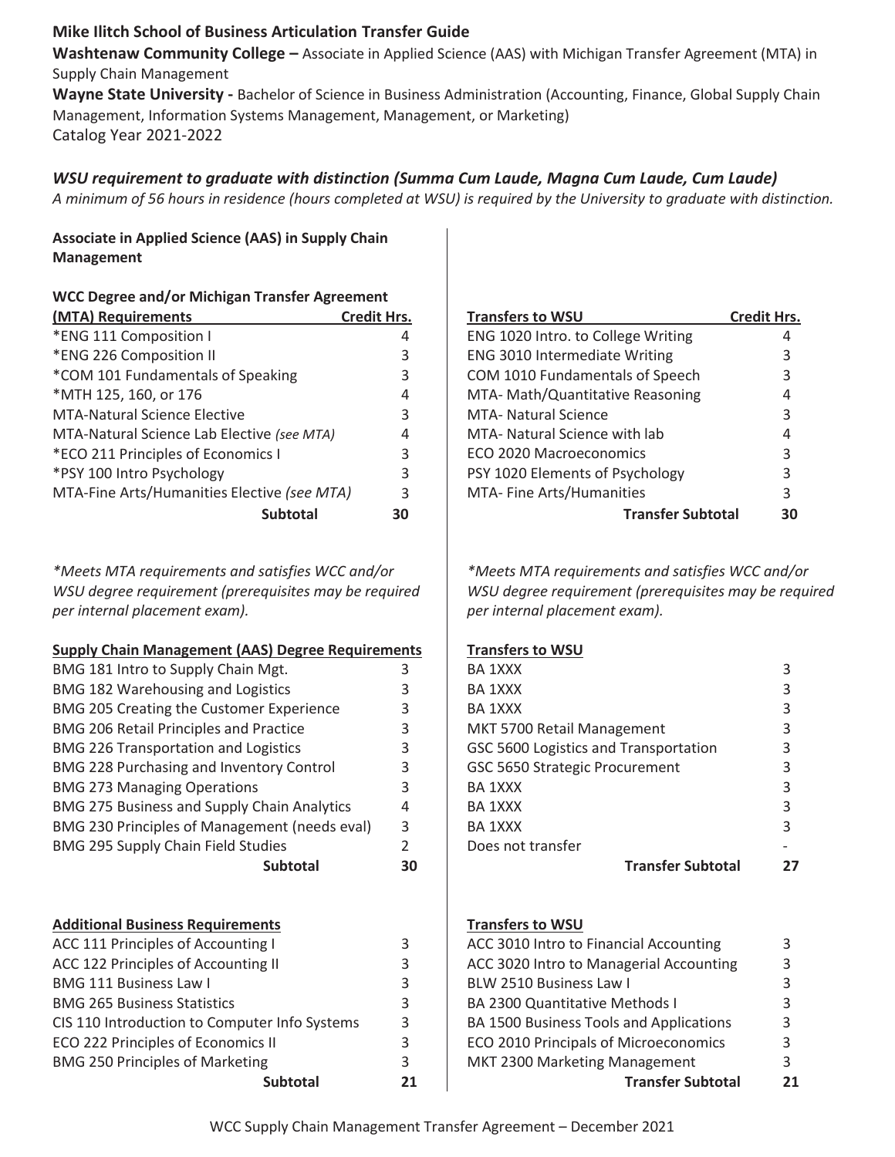# **Mike Ilitch School of Business Articulation Transfer Guide**

**Washtenaw Community College –** Associate in Applied Science (AAS) with Michigan Transfer Agreement (MTA) in Supply Chain Management

**Wayne State University -** Bachelor of Science in Business Administration (Accounting, Finance, Global Supply Chain Management, Information Systems Management, Management, or Marketing) Catalog Year 2021-2022

# *WSU requirement to graduate with distinction (Summa Cum Laude, Magna Cum Laude, Cum Laude)*

*A minimum of 56 hours in residence (hours completed at WSU) is required by the University to graduate with distinction.* 

**Associate in Applied Science (AAS) in Supply Chain Management** 

| <b>WCC Degree and/or Michigan Transfer Agreement</b> |                    |  |
|------------------------------------------------------|--------------------|--|
| (MTA) Requirements                                   | <b>Credit Hrs.</b> |  |
| *ENG 111 Composition I                               | 4                  |  |
| *ENG 226 Composition II                              | 3                  |  |
| *COM 101 Fundamentals of Speaking                    | 3                  |  |
| *MTH 125, 160, or 176                                | 4                  |  |
| <b>MTA-Natural Science Elective</b>                  | 3                  |  |
| MTA-Natural Science Lab Elective (see MTA)           | 4                  |  |
| *ECO 211 Principles of Economics I                   | 3                  |  |
| *PSY 100 Intro Psychology                            | 3                  |  |
| MTA-Fine Arts/Humanities Elective (see MTA)          | 3                  |  |
| <b>Subtotal</b>                                      | 30                 |  |

*\*Meets MTA requirements and satisfies WCC and/or WSU degree requirement (prerequisites may be required per internal placement exam).*

### **Supply Chain Management (AAS) Degree Requirements**

| BMG 181 Intro to Supply Chain Mgt.              |               |
|-------------------------------------------------|---------------|
| BMG 182 Warehousing and Logistics               | 3             |
| BMG 205 Creating the Customer Experience        | 3             |
| <b>BMG 206 Retail Principles and Practice</b>   | 3             |
| <b>BMG 226 Transportation and Logistics</b>     | 3             |
| <b>BMG 228 Purchasing and Inventory Control</b> | 3             |
| <b>BMG 273 Managing Operations</b>              | 3             |
| BMG 275 Business and Supply Chain Analytics     | 4             |
| BMG 230 Principles of Management (needs eval)   | 3             |
| <b>BMG 295 Supply Chain Field Studies</b>       | $\mathcal{P}$ |
| <b>Subtotal</b>                                 | 30            |
|                                                 |               |

#### **Additional Business Requirements**

| ACC 111 Principles of Accounting I            |   |
|-----------------------------------------------|---|
| ACC 122 Principles of Accounting II           | 3 |
| <b>BMG 111 Business Law I</b>                 | 3 |
| <b>BMG 265 Business Statistics</b>            | 3 |
| CIS 110 Introduction to Computer Info Systems | 3 |
| ECO 222 Principles of Economics II            | 3 |
| <b>BMG 250 Principles of Marketing</b>        |   |
| Subtotal                                      |   |

| <b>Transfers to WSU</b>              | <b>Credit Hrs.</b> |
|--------------------------------------|--------------------|
| ENG 1020 Intro. to College Writing   | 4                  |
| <b>ENG 3010 Intermediate Writing</b> | 3                  |
| COM 1010 Fundamentals of Speech      | 3                  |
| MTA- Math/Quantitative Reasoning     | 4                  |
| MTA- Natural Science                 | 3                  |
| MTA- Natural Science with lab        | 4                  |
| ECO 2020 Macroeconomics              | 3                  |
| PSY 1020 Elements of Psychology      | 3                  |
| MTA- Fine Arts/Humanities            | 3                  |
| <b>Transfer Subtotal</b>             | 30                 |

*\*Meets MTA requirements and satisfies WCC and/or WSU degree requirement (prerequisites may be required per internal placement exam).*

## **Transfers to WSU**

| <b>Transfer Subtotal</b>              |   |
|---------------------------------------|---|
| Does not transfer                     |   |
| BA 1XXX                               | 3 |
| BA 1XXX                               | 3 |
| BA 1XXX                               | 3 |
| GSC 5650 Strategic Procurement        |   |
| GSC 5600 Logistics and Transportation |   |
| MKT 5700 Retail Management            | 3 |
| BA 1XXX                               | 3 |
| BA 1XXX                               | 3 |
| BA 1XXX                               | 3 |
|                                       |   |

#### **Transfers to WSU**

| ACC 3010 Intro to Financial Accounting  | 3  |
|-----------------------------------------|----|
| ACC 3020 Intro to Managerial Accounting | 3  |
| BLW 2510 Business Law I                 | 3  |
| BA 2300 Quantitative Methods I          | 3  |
| BA 1500 Business Tools and Applications | 3  |
| ECO 2010 Principals of Microeconomics   | 3  |
| MKT 2300 Marketing Management           | 3  |
| <b>Transfer Subtotal</b>                | 21 |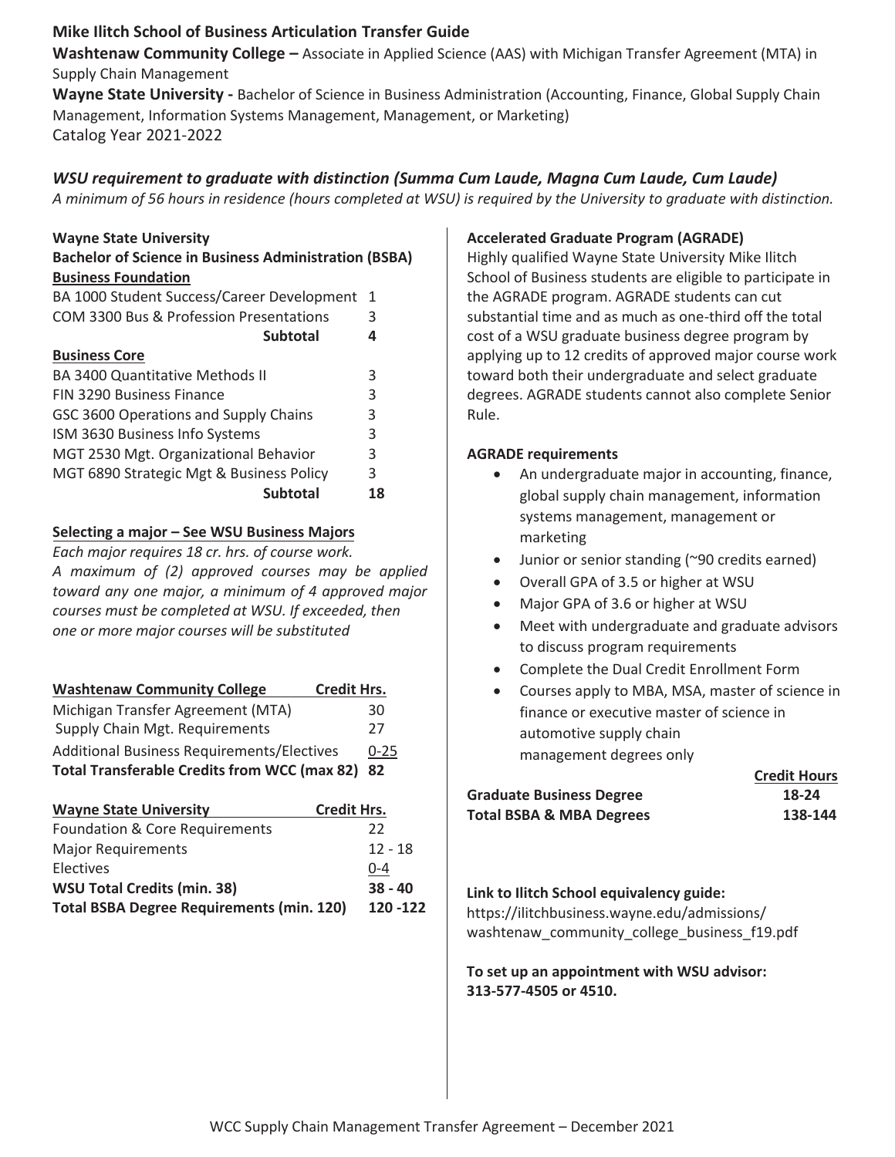# **Mike Ilitch School of Business Articulation Transfer Guide**

**Washtenaw Community College –** Associate in Applied Science (AAS) with Michigan Transfer Agreement (MTA) in Supply Chain Management

**Wayne State University -** Bachelor of Science in Business Administration (Accounting, Finance, Global Supply Chain Management, Information Systems Management, Management, or Marketing) Catalog Year 2021-2022

# *WSU requirement to graduate with distinction (Summa Cum Laude, Magna Cum Laude, Cum Laude)*

*A minimum of 56 hours in residence (hours completed at WSU) is required by the University to graduate with distinction.* 

## **Wayne State University**

| <b>Bachelor of Science in Business Administration (BSBA)</b> |  |
|--------------------------------------------------------------|--|
| <b>Business Foundation</b>                                   |  |
| BA 1000 Student Success/Career Development 1                 |  |
|                                                              |  |

| COM 3300 Bus & Profession Presentations  |    |
|------------------------------------------|----|
| <b>Subtotal</b>                          | 4  |
| <b>Business Core</b>                     |    |
| <b>BA 3400 Quantitative Methods II</b>   | 3  |
| <b>FIN 3290 Business Finance</b>         | 3  |
| GSC 3600 Operations and Supply Chains    | 3  |
| ISM 3630 Business Info Systems           | 3  |
| MGT 2530 Mgt. Organizational Behavior    | 3  |
| MGT 6890 Strategic Mgt & Business Policy | 3  |
| <b>Subtotal</b>                          | 18 |

## **Selecting a major – See WSU Business Majors**

*Each major requires 18 cr. hrs. of course work. A maximum of (2) approved courses may be applied toward any one major, a minimum of 4 approved major courses must be completed at WSU. If exceeded, then one or more major courseƐ will be substituted*

| <b>Washtenaw Community College</b><br><b>Credit Hrs.</b> |          |
|----------------------------------------------------------|----------|
| Michigan Transfer Agreement (MTA)                        | 30       |
| Supply Chain Mgt. Requirements                           | 27       |
| Additional Business Requirements/Electives               | $0 - 25$ |
| Total Transferable Credits from WCC (max 82) 82          |          |

| <b>Wayne State University</b>                    | <b>Credit Hrs.</b> |
|--------------------------------------------------|--------------------|
| Foundation & Core Requirements                   | 22                 |
| <b>Major Requirements</b>                        | $12 - 18$          |
| Electives                                        | $0 - 4$            |
| <b>WSU Total Credits (min. 38)</b>               | $38 - 40$          |
| <b>Total BSBA Degree Requirements (min. 120)</b> | 120 - 122          |

## **Accelerated Graduate Program (AGRADE)**

Highly qualified Wayne State University Mike Ilitch School of Business students are eligible to participate in the AGRADE program. AGRADE students can cut substantial time and as much as one-third off the total cost of a WSU graduate business degree program by applying up to 12 credits of approved major course work toward both their undergraduate and select graduate degrees. AGRADE students cannot also complete Senior Rule.

### **AGRADE requirements**

- An undergraduate major in accounting, finance, global supply chain management, information systems management, management or marketing
- Junior or senior standing (~90 credits earned)
- Overall GPA of 3.5 or higher at WSU
- Major GPA of 3.6 or higher at WSU
- Meet with undergraduate and graduate advisors to discuss program requirements
- Complete the Dual Credit Enrollment Form
- Courses apply to MBA, MSA, master of science in finance or executive master of science in automotive supply chain management degrees only

|                                 | <b>Credit Hours</b> |
|---------------------------------|---------------------|
| <b>Graduate Business Degree</b> | 18-24               |
| Total BSBA & MBA Degrees        | 138-144             |

### **Link to Ilitch School equivalency guide:**

https://ilitchbusiness.wayne.edu/admissions/ washtenaw\_community\_college\_business\_f19.pdf

**To set up an appointment with WSU advisor: 313-577-4505 or 4510.**